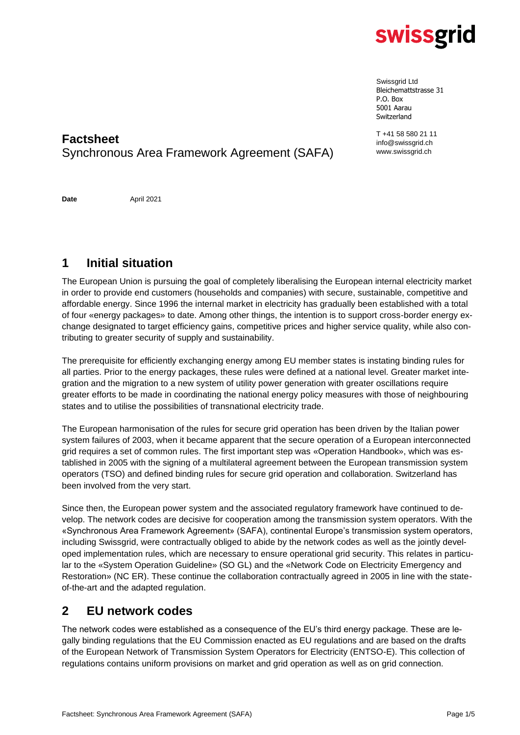

Swissgrid Ltd Bleichemattstrasse 31 P.O. Box 5001 Aarau Switzerland

T +41 58 580 21 11 info@swissgrid.ch www.swissgrid.ch

### **Factsheet** Synchronous Area Framework Agreement (SAFA)

**Date** April 2021

## **1 Initial situation**

The European Union is pursuing the goal of completely liberalising the European internal electricity market in order to provide end customers (households and companies) with secure, sustainable, competitive and affordable energy. Since 1996 the internal market in electricity has gradually been established with a total of four «energy packages» to date. Among other things, the intention is to support cross-border energy exchange designated to target efficiency gains, competitive prices and higher service quality, while also contributing to greater security of supply and sustainability.

The prerequisite for efficiently exchanging energy among EU member states is instating binding rules for all parties. Prior to the energy packages, these rules were defined at a national level. Greater market integration and the migration to a new system of utility power generation with greater oscillations require greater efforts to be made in coordinating the national energy policy measures with those of neighbouring states and to utilise the possibilities of transnational electricity trade.

The European harmonisation of the rules for secure grid operation has been driven by the Italian power system failures of 2003, when it became apparent that the secure operation of a European interconnected grid requires a set of common rules. The first important step was «Operation Handbook», which was established in 2005 with the signing of a multilateral agreement between the European transmission system operators (TSO) and defined binding rules for secure grid operation and collaboration. Switzerland has been involved from the very start.

Since then, the European power system and the associated regulatory framework have continued to develop. The network codes are decisive for cooperation among the transmission system operators. With the «Synchronous Area Framework Agreement» (SAFA), continental Europe's transmission system operators, including Swissgrid, were contractually obliged to abide by the network codes as well as the jointly developed implementation rules, which are necessary to ensure operational grid security. This relates in particular to the «System Operation Guideline» (SO GL) and the «Network Code on Electricity Emergency and Restoration» (NC ER). These continue the collaboration contractually agreed in 2005 in line with the stateof-the-art and the adapted regulation.

### **2 EU network codes**

The network codes were established as a consequence of the EU's third energy package. These are legally binding regulations that the EU Commission enacted as EU regulations and are based on the drafts of the European Network of Transmission System Operators for Electricity (ENTSO-E). This collection of regulations contains uniform provisions on market and grid operation as well as on grid connection.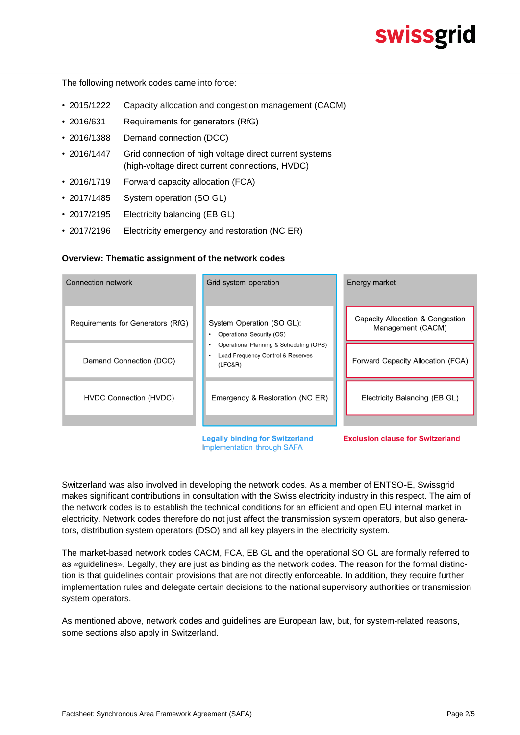# **swissgrid**

The following network codes came into force:

- 2015/1222 Capacity allocation and congestion management (CACM)
- 2016/631 Requirements for generators (RfG)
- 2016/1388 Demand connection (DCC)
- 2016/1447 Grid connection of high voltage direct current systems (high-voltage direct current connections, HVDC)
- 2016/1719 Forward capacity allocation (FCA)
- 2017/1485 System operation (SO GL)
- 2017/2195 Electricity balancing (EB GL)
- 2017/2196 Electricity emergency and restoration (NC ER)

#### **Overview: Thematic assignment of the network codes**



**Legally binding for Switzerland Implementation through SAFA** 

**Exclusion clause for Switzerland** 

Switzerland was also involved in developing the network codes. As a member of ENTSO-E, Swissgrid makes significant contributions in consultation with the Swiss electricity industry in this respect. The aim of the network codes is to establish the technical conditions for an efficient and open EU internal market in electricity. Network codes therefore do not just affect the transmission system operators, but also generators, distribution system operators (DSO) and all key players in the electricity system.

The market-based network codes CACM, FCA, EB GL and the operational SO GL are formally referred to as «guidelines». Legally, they are just as binding as the network codes. The reason for the formal distinction is that guidelines contain provisions that are not directly enforceable. In addition, they require further implementation rules and delegate certain decisions to the national supervisory authorities or transmission system operators.

As mentioned above, network codes and guidelines are European law, but, for system-related reasons, some sections also apply in Switzerland.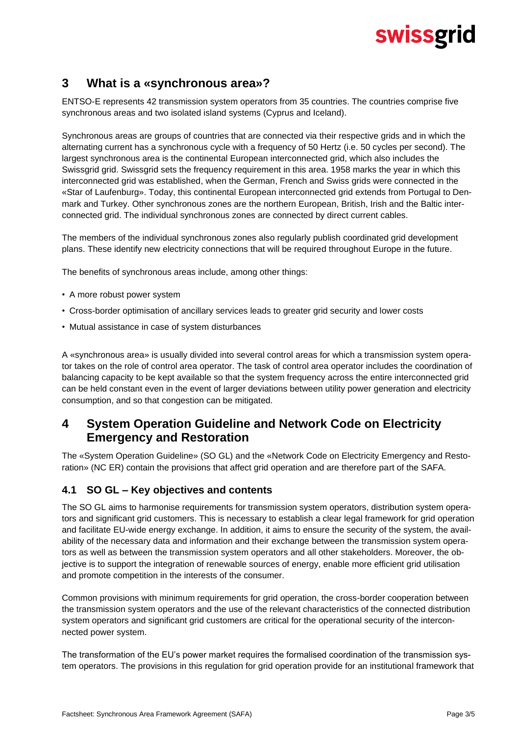# swissgrid

#### **3 What is a «synchronous area»?**

ENTSO-E represents 42 transmission system operators from 35 countries. The countries comprise five synchronous areas and two isolated island systems (Cyprus and Iceland).

Synchronous areas are groups of countries that are connected via their respective grids and in which the alternating current has a synchronous cycle with a frequency of 50 Hertz (i.e. 50 cycles per second). The largest synchronous area is the continental European interconnected grid, which also includes the Swissgrid grid. Swissgrid sets the frequency requirement in this area. 1958 marks the year in which this interconnected grid was established, when the German, French and Swiss grids were connected in the «Star of Laufenburg». Today, this continental European interconnected grid extends from Portugal to Denmark and Turkey. Other synchronous zones are the northern European, British, Irish and the Baltic interconnected grid. The individual synchronous zones are connected by direct current cables.

The members of the individual synchronous zones also regularly publish coordinated grid development plans. These identify new electricity connections that will be required throughout Europe in the future.

The benefits of synchronous areas include, among other things:

- A more robust power system
- Cross-border optimisation of ancillary services leads to greater grid security and lower costs
- Mutual assistance in case of system disturbances

A «synchronous area» is usually divided into several control areas for which a transmission system operator takes on the role of control area operator. The task of control area operator includes the coordination of balancing capacity to be kept available so that the system frequency across the entire interconnected grid can be held constant even in the event of larger deviations between utility power generation and electricity consumption, and so that congestion can be mitigated.

#### **4 System Operation Guideline and Network Code on Electricity Emergency and Restoration**

The «System Operation Guideline» (SO GL) and the «Network Code on Electricity Emergency and Restoration» (NC ER) contain the provisions that affect grid operation and are therefore part of the SAFA.

#### **4.1 SO GL – Key objectives and contents**

The SO GL aims to harmonise requirements for transmission system operators, distribution system operators and significant grid customers. This is necessary to establish a clear legal framework for grid operation and facilitate EU-wide energy exchange. In addition, it aims to ensure the security of the system, the availability of the necessary data and information and their exchange between the transmission system operators as well as between the transmission system operators and all other stakeholders. Moreover, the objective is to support the integration of renewable sources of energy, enable more efficient grid utilisation and promote competition in the interests of the consumer.

Common provisions with minimum requirements for grid operation, the cross-border cooperation between the transmission system operators and the use of the relevant characteristics of the connected distribution system operators and significant grid customers are critical for the operational security of the interconnected power system.

The transformation of the EU's power market requires the formalised coordination of the transmission system operators. The provisions in this regulation for grid operation provide for an institutional framework that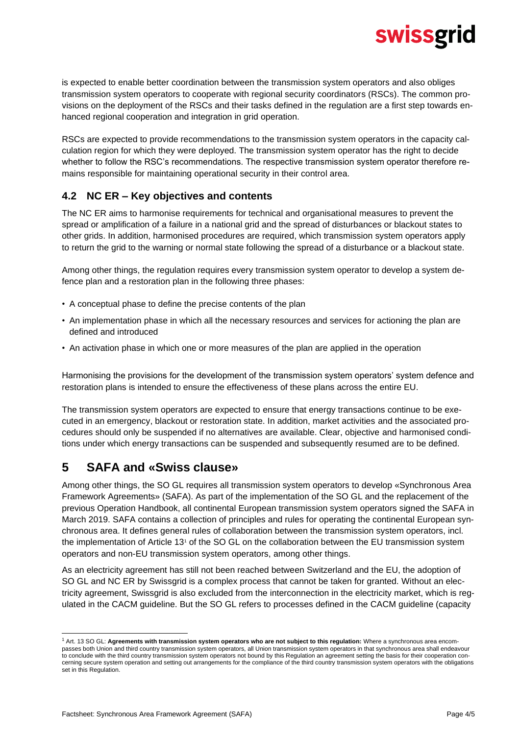# swissgrid

is expected to enable better coordination between the transmission system operators and also obliges transmission system operators to cooperate with regional security coordinators (RSCs). The common provisions on the deployment of the RSCs and their tasks defined in the regulation are a first step towards enhanced regional cooperation and integration in grid operation.

RSCs are expected to provide recommendations to the transmission system operators in the capacity calculation region for which they were deployed. The transmission system operator has the right to decide whether to follow the RSC's recommendations. The respective transmission system operator therefore remains responsible for maintaining operational security in their control area.

#### **4.2 NC ER – Key objectives and contents**

The NC ER aims to harmonise requirements for technical and organisational measures to prevent the spread or amplification of a failure in a national grid and the spread of disturbances or blackout states to other grids. In addition, harmonised procedures are required, which transmission system operators apply to return the grid to the warning or normal state following the spread of a disturbance or a blackout state.

Among other things, the regulation requires every transmission system operator to develop a system defence plan and a restoration plan in the following three phases:

- A conceptual phase to define the precise contents of the plan
- An implementation phase in which all the necessary resources and services for actioning the plan are defined and introduced
- An activation phase in which one or more measures of the plan are applied in the operation

Harmonising the provisions for the development of the transmission system operators' system defence and restoration plans is intended to ensure the effectiveness of these plans across the entire EU.

The transmission system operators are expected to ensure that energy transactions continue to be executed in an emergency, blackout or restoration state. In addition, market activities and the associated procedures should only be suspended if no alternatives are available. Clear, objective and harmonised conditions under which energy transactions can be suspended and subsequently resumed are to be defined.

### **5 SAFA and «Swiss clause»**

Among other things, the SO GL requires all transmission system operators to develop «Synchronous Area Framework Agreements» (SAFA). As part of the implementation of the SO GL and the replacement of the previous Operation Handbook, all continental European transmission system operators signed the SAFA in March 2019. SAFA contains a collection of principles and rules for operating the continental European synchronous area. It defines general rules of collaboration between the transmission system operators, incl. the implementation of Article 13<sup>1</sup> of the SO GL on the collaboration between the EU transmission system operators and non-EU transmission system operators, among other things.

As an electricity agreement has still not been reached between Switzerland and the EU, the adoption of SO GL and NC ER by Swissgrid is a complex process that cannot be taken for granted. Without an electricity agreement, Swissgrid is also excluded from the interconnection in the electricity market, which is regulated in the CACM guideline. But the SO GL refers to processes defined in the CACM guideline (capacity

<sup>1</sup> Art. 13 SO GL: **Agreements with transmission system operators who are not subject to this regulation:** Where a synchronous area encompasses both Union and third country transmission system operators, all Union transmission system operators in that synchronous area shall endeavour to conclude with the third country transmission system operators not bound by this Regulation an agreement setting the basis for their cooperation concerning secure system operation and setting out arrangements for the compliance of the third country transmission system operators with the obligations set in this Regulation.